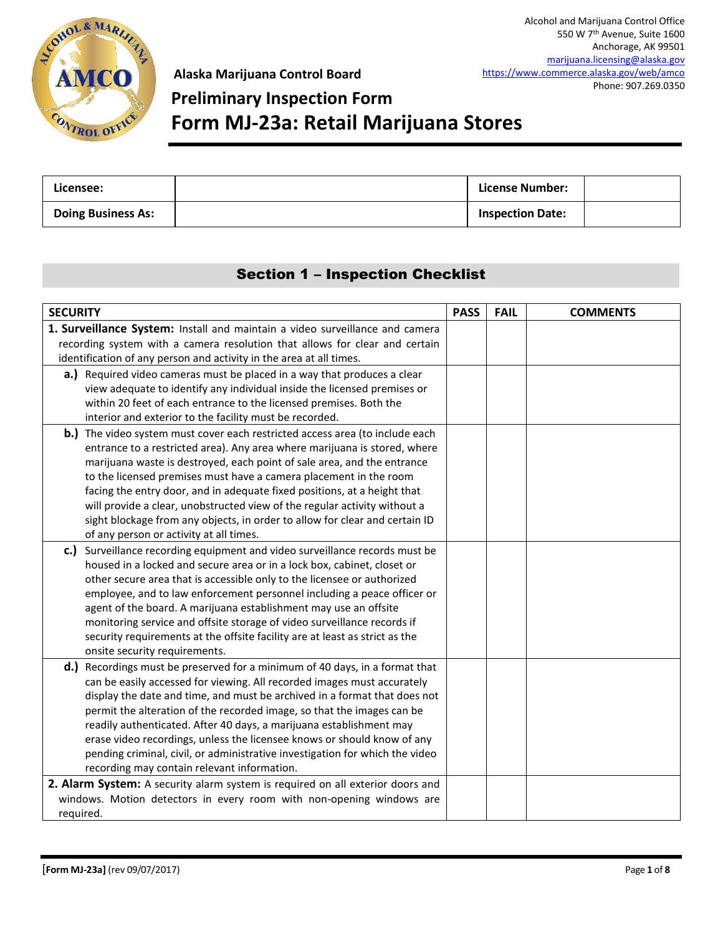

## **Preliminary Inspection Form Form MJ-23a: Retail Marijuana Stores**

| Licensee:                 | License Number:         |  |
|---------------------------|-------------------------|--|
| <b>Doing Business As:</b> | <b>Inspection Date:</b> |  |

### Section 1 – Inspection Checklist

| <b>SECURITY</b>                                                                | <b>PASS</b> | <b>FAIL</b> | <b>COMMENTS</b> |
|--------------------------------------------------------------------------------|-------------|-------------|-----------------|
| 1. Surveillance System: Install and maintain a video surveillance and camera   |             |             |                 |
| recording system with a camera resolution that allows for clear and certain    |             |             |                 |
| identification of any person and activity in the area at all times.            |             |             |                 |
| a.) Required video cameras must be placed in a way that produces a clear       |             |             |                 |
| view adequate to identify any individual inside the licensed premises or       |             |             |                 |
| within 20 feet of each entrance to the licensed premises. Both the             |             |             |                 |
| interior and exterior to the facility must be recorded.                        |             |             |                 |
| b.) The video system must cover each restricted access area (to include each   |             |             |                 |
| entrance to a restricted area). Any area where marijuana is stored, where      |             |             |                 |
| marijuana waste is destroyed, each point of sale area, and the entrance        |             |             |                 |
| to the licensed premises must have a camera placement in the room              |             |             |                 |
| facing the entry door, and in adequate fixed positions, at a height that       |             |             |                 |
| will provide a clear, unobstructed view of the regular activity without a      |             |             |                 |
| sight blockage from any objects, in order to allow for clear and certain ID    |             |             |                 |
| of any person or activity at all times.                                        |             |             |                 |
| c.) Surveillance recording equipment and video surveillance records must be    |             |             |                 |
| housed in a locked and secure area or in a lock box, cabinet, closet or        |             |             |                 |
| other secure area that is accessible only to the licensee or authorized        |             |             |                 |
| employee, and to law enforcement personnel including a peace officer or        |             |             |                 |
| agent of the board. A marijuana establishment may use an offsite               |             |             |                 |
| monitoring service and offsite storage of video surveillance records if        |             |             |                 |
| security requirements at the offsite facility are at least as strict as the    |             |             |                 |
| onsite security requirements.                                                  |             |             |                 |
| d.) Recordings must be preserved for a minimum of 40 days, in a format that    |             |             |                 |
| can be easily accessed for viewing. All recorded images must accurately        |             |             |                 |
| display the date and time, and must be archived in a format that does not      |             |             |                 |
| permit the alteration of the recorded image, so that the images can be         |             |             |                 |
| readily authenticated. After 40 days, a marijuana establishment may            |             |             |                 |
| erase video recordings, unless the licensee knows or should know of any        |             |             |                 |
| pending criminal, civil, or administrative investigation for which the video   |             |             |                 |
| recording may contain relevant information.                                    |             |             |                 |
| 2. Alarm System: A security alarm system is required on all exterior doors and |             |             |                 |
| windows. Motion detectors in every room with non-opening windows are           |             |             |                 |
| required.                                                                      |             |             |                 |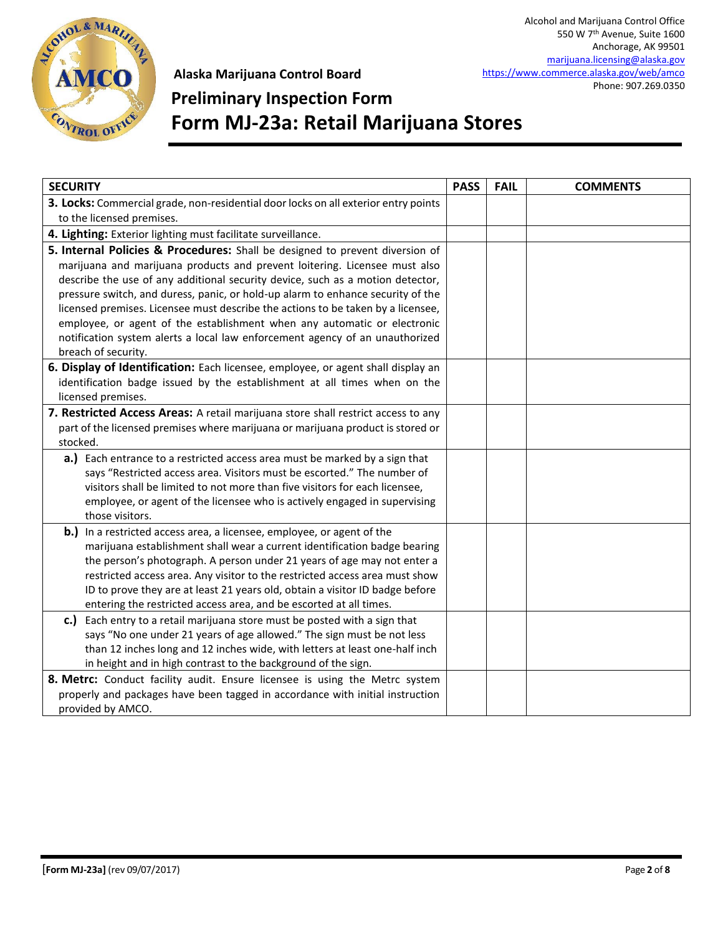

# **Preliminary Inspection Form Form MJ-23a: Retail Marijuana Stores**

| <b>SECURITY</b>                                                                     | <b>PASS</b> | <b>FAIL</b> | <b>COMMENTS</b> |
|-------------------------------------------------------------------------------------|-------------|-------------|-----------------|
| 3. Locks: Commercial grade, non-residential door locks on all exterior entry points |             |             |                 |
| to the licensed premises.                                                           |             |             |                 |
| 4. Lighting: Exterior lighting must facilitate surveillance.                        |             |             |                 |
| 5. Internal Policies & Procedures: Shall be designed to prevent diversion of        |             |             |                 |
| marijuana and marijuana products and prevent loitering. Licensee must also          |             |             |                 |
| describe the use of any additional security device, such as a motion detector,      |             |             |                 |
| pressure switch, and duress, panic, or hold-up alarm to enhance security of the     |             |             |                 |
| licensed premises. Licensee must describe the actions to be taken by a licensee,    |             |             |                 |
| employee, or agent of the establishment when any automatic or electronic            |             |             |                 |
| notification system alerts a local law enforcement agency of an unauthorized        |             |             |                 |
| breach of security.                                                                 |             |             |                 |
| 6. Display of Identification: Each licensee, employee, or agent shall display an    |             |             |                 |
| identification badge issued by the establishment at all times when on the           |             |             |                 |
| licensed premises.                                                                  |             |             |                 |
| 7. Restricted Access Areas: A retail marijuana store shall restrict access to any   |             |             |                 |
| part of the licensed premises where marijuana or marijuana product is stored or     |             |             |                 |
| stocked.                                                                            |             |             |                 |
| a.) Each entrance to a restricted access area must be marked by a sign that         |             |             |                 |
| says "Restricted access area. Visitors must be escorted." The number of             |             |             |                 |
| visitors shall be limited to not more than five visitors for each licensee,         |             |             |                 |
| employee, or agent of the licensee who is actively engaged in supervising           |             |             |                 |
| those visitors.                                                                     |             |             |                 |
| b.) In a restricted access area, a licensee, employee, or agent of the              |             |             |                 |
| marijuana establishment shall wear a current identification badge bearing           |             |             |                 |
| the person's photograph. A person under 21 years of age may not enter a             |             |             |                 |
| restricted access area. Any visitor to the restricted access area must show         |             |             |                 |
| ID to prove they are at least 21 years old, obtain a visitor ID badge before        |             |             |                 |
| entering the restricted access area, and be escorted at all times.                  |             |             |                 |
| Each entry to a retail marijuana store must be posted with a sign that<br>c.)       |             |             |                 |
| says "No one under 21 years of age allowed." The sign must be not less              |             |             |                 |
| than 12 inches long and 12 inches wide, with letters at least one-half inch         |             |             |                 |
| in height and in high contrast to the background of the sign.                       |             |             |                 |
| 8. Metrc: Conduct facility audit. Ensure licensee is using the Metrc system         |             |             |                 |
| properly and packages have been tagged in accordance with initial instruction       |             |             |                 |
| provided by AMCO.                                                                   |             |             |                 |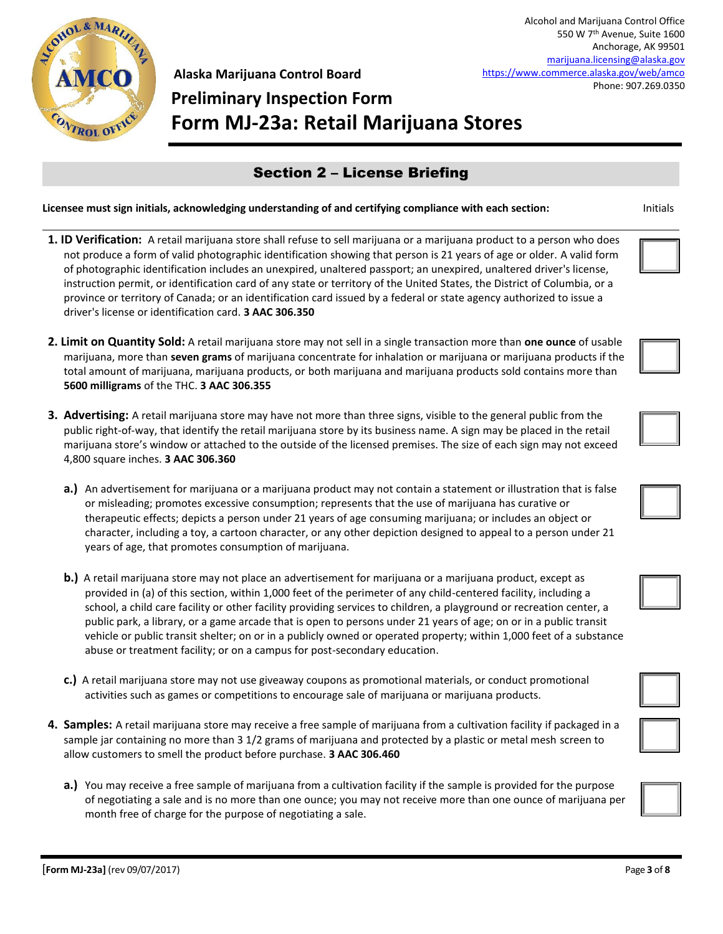

Anchorage, AK 99501 [marijuana.licensing@alaska.gov](mailto:marijuana.licensing@alaska.gov) <https://www.commerce.alaska.gov/web/amco> Phone: 907.269.0350

Alcohol and Marijuana Control Office 550 W 7th Avenue, Suite 1600

# **Preliminary Inspection Form Form MJ-23a: Retail Marijuana Stores**

### Section 2 – License Briefing

- **1. ID Verification:** A retail marijuana store shall refuse to sell marijuana or a marijuana product to a person who does not produce a form of valid photographic identification showing that person is 21 years of age or older. A valid form of photographic identification includes an unexpired, unaltered passport; an unexpired, unaltered driver's license, instruction permit, or identification card of any state or territory of the United States, the District of Columbia, or a province or territory of Canada; or an identification card issued by a federal or state agency authorized to issue a driver's license or identification card. **3 AAC 306.350**
- **2. Limit on Quantity Sold:** A retail marijuana store may not sell in a single transaction more than **one ounce** of usable marijuana, more than **seven grams** of marijuana concentrate for inhalation or marijuana or marijuana products if the total amount of marijuana, marijuana products, or both marijuana and marijuana products sold contains more than **5600 milligrams** of the THC. **3 AAC 306.355**
- **3. Advertising:** A retail marijuana store may have not more than three signs, visible to the general public from the public right-of-way, that identify the retail marijuana store by its business name. A sign may be placed in the retail marijuana store's window or attached to the outside of the licensed premises. The size of each sign may not exceed 4,800 square inches. **3 AAC 306.360**
	- **a.)** An advertisement for marijuana or a marijuana product may not contain a statement or illustration that is false or misleading; promotes excessive consumption; represents that the use of marijuana has curative or therapeutic effects; depicts a person under 21 years of age consuming marijuana; or includes an object or character, including a toy, a cartoon character, or any other depiction designed to appeal to a person under 21 years of age, that promotes consumption of marijuana.
	- **b.)** A retail marijuana store may not place an advertisement for marijuana or a marijuana product, except as provided in (a) of this section, within 1,000 feet of the perimeter of any child-centered facility, including a school, a child care facility or other facility providing services to children, a playground or recreation center, a public park, a library, or a game arcade that is open to persons under 21 years of age; on or in a public transit vehicle or public transit shelter; on or in a publicly owned or operated property; within 1,000 feet of a substance abuse or treatment facility; or on a campus for post-secondary education.
	- **c.)** A retail marijuana store may not use giveaway coupons as promotional materials, or conduct promotional activities such as games or competitions to encourage sale of marijuana or marijuana products.
- **4. Samples:** A retail marijuana store may receive a free sample of marijuana from a cultivation facility if packaged in a sample jar containing no more than 3 1/2 grams of marijuana and protected by a plastic or metal mesh screen to allow customers to smell the product before purchase. **3 AAC 306.460**
	- **a.)** You may receive a free sample of marijuana from a cultivation facility if the sample is provided for the purpose of negotiating a sale and is no more than one ounce; you may not receive more than one ounce of marijuana per month free of charge for the purpose of negotiating a sale.











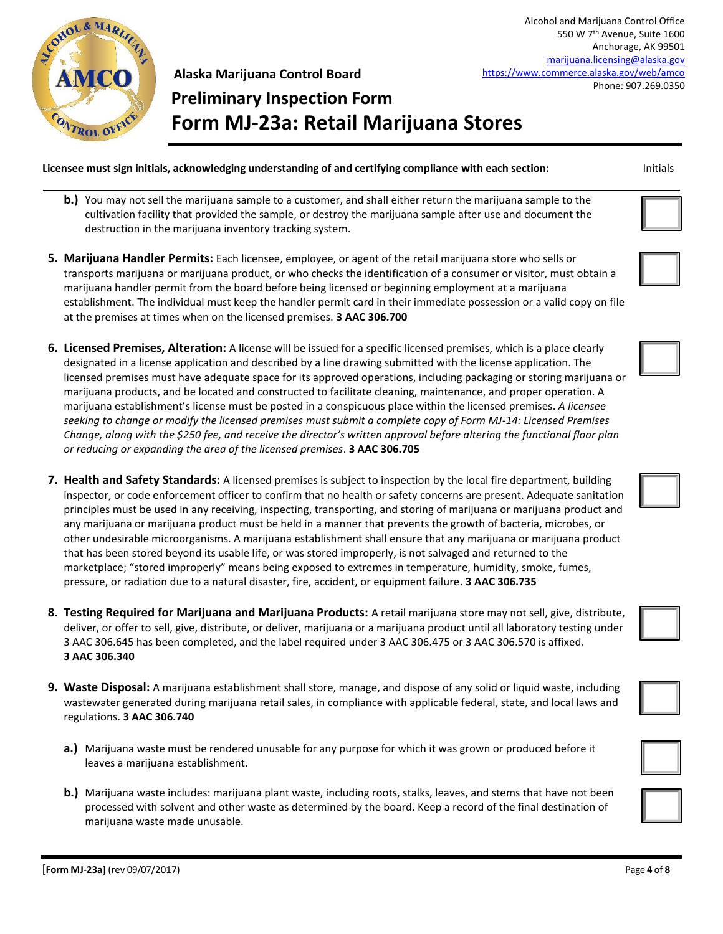

**Preliminary Inspection Form Form MJ-23a: Retail Marijuana Stores**

Alcohol and Marijuana Control Office 550 W 7th Avenue, Suite 1600 Anchorage, AK 99501 [marijuana.licensing@alaska.gov](mailto:marijuana.licensing@alaska.gov) <https://www.commerce.alaska.gov/web/amco> Phone: 907.269.0350

- **b.)** You may not sell the marijuana sample to a customer, and shall either return the marijuana sample to the cultivation facility that provided the sample, or destroy the marijuana sample after use and document the destruction in the marijuana inventory tracking system.
- **5. Marijuana Handler Permits:** Each licensee, employee, or agent of the retail marijuana store who sells or transports marijuana or marijuana product, or who checks the identification of a consumer or visitor, must obtain a marijuana handler permit from the board before being licensed or beginning employment at a marijuana establishment. The individual must keep the handler permit card in their immediate possession or a valid copy on file at the premises at times when on the licensed premises. **3 AAC 306.700**
- **6. Licensed Premises, Alteration:** A license will be issued for a specific licensed premises, which is a place clearly designated in a license application and described by a line drawing submitted with the license application. The licensed premises must have adequate space for its approved operations, including packaging or storing marijuana or marijuana products, and be located and constructed to facilitate cleaning, maintenance, and proper operation. A marijuana establishment's license must be posted in a conspicuous place within the licensed premises. *A licensee seeking to change or modify the licensed premises must submit a complete copy of Form MJ-14: Licensed Premises Change, along with the \$250 fee, and receive the director's written approval before altering the functional floor plan or reducing or expanding the area of the licensed premises*. **3 AAC 306.705**
- **7. Health and Safety Standards:** A licensed premises is subject to inspection by the local fire department, building inspector, or code enforcement officer to confirm that no health or safety concerns are present. Adequate sanitation principles must be used in any receiving, inspecting, transporting, and storing of marijuana or marijuana product and any marijuana or marijuana product must be held in a manner that prevents the growth of bacteria, microbes, or other undesirable microorganisms. A marijuana establishment shall ensure that any marijuana or marijuana product that has been stored beyond its usable life, or was stored improperly, is not salvaged and returned to the marketplace; "stored improperly" means being exposed to extremes in temperature, humidity, smoke, fumes, pressure, or radiation due to a natural disaster, fire, accident, or equipment failure. **3 AAC 306.735**
- **8. Testing Required for Marijuana and Marijuana Products:** A retail marijuana store may not sell, give, distribute, deliver, or offer to sell, give, distribute, or deliver, marijuana or a marijuana product until all laboratory testing under 3 AAC 306.645 has been completed, and the label required under 3 AAC 306.475 or 3 AAC 306.570 is affixed. **3 AAC 306.340**
- **9. Waste Disposal:** A marijuana establishment shall store, manage, and dispose of any solid or liquid waste, including wastewater generated during marijuana retail sales, in compliance with applicable federal, state, and local laws and regulations. **3 AAC 306.740**
	- **a.)** Marijuana waste must be rendered unusable for any purpose for which it was grown or produced before it leaves a marijuana establishment.
	- **b.)** Marijuana waste includes: marijuana plant waste, including roots, stalks, leaves, and stems that have not been processed with solvent and other waste as determined by the board. Keep a record of the final destination of marijuana waste made unusable.









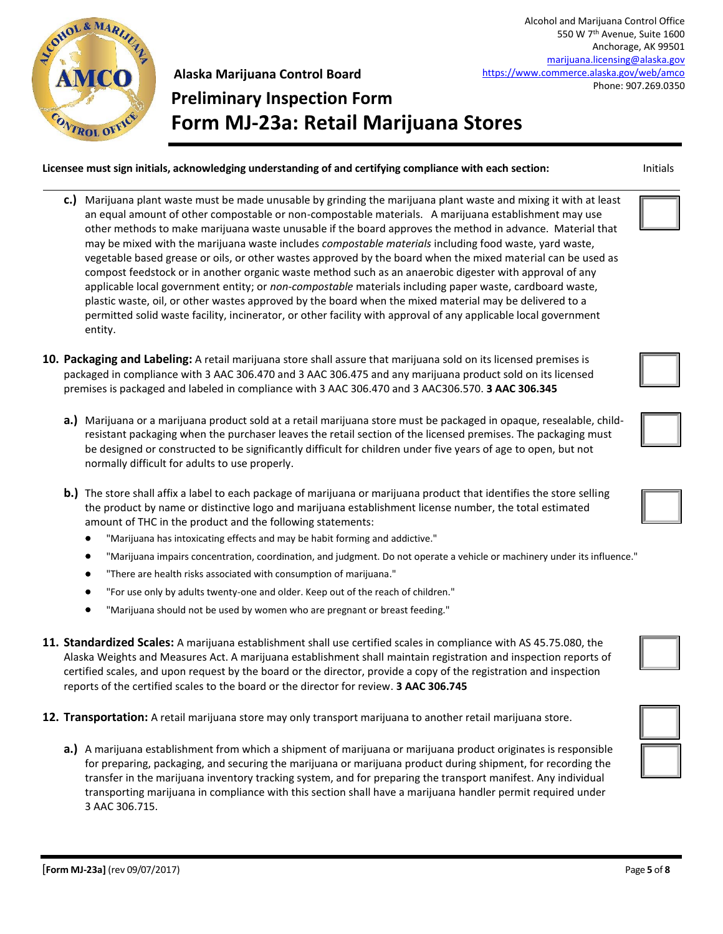

Alcohol and Marijuana Control Office 550 W 7th Avenue, Suite 1600 Anchorage, AK 99501 [marijuana.licensing@alaska.gov](mailto:marijuana.licensing@alaska.gov) <https://www.commerce.alaska.gov/web/amco> Phone: 907.269.0350

## **Alaska Marijuana Control Board Preliminary Inspection Form Form MJ-23a: Retail Marijuana Stores**

- **c.)** Marijuana plant waste must be made unusable by grinding the marijuana plant waste and mixing it with at least an equal amount of other compostable or non-compostable materials. A marijuana establishment may use other methods to make marijuana waste unusable if the board approves the method in advance. Material that may be mixed with the marijuana waste includes *compostable materials* including food waste, yard waste, vegetable based grease or oils, or other wastes approved by the board when the mixed material can be used as compost feedstock or in another organic waste method such as an anaerobic digester with approval of any applicable local government entity; or *non-compostable* materials including paper waste, cardboard waste, plastic waste, oil, or other wastes approved by the board when the mixed material may be delivered to a permitted solid waste facility, incinerator, or other facility with approval of any applicable local government entity.
- **10. Packaging and Labeling:** A retail marijuana store shall assure that marijuana sold on its licensed premises is packaged in compliance with 3 AAC 306.470 and 3 AAC 306.475 and any marijuana product sold on its licensed premises is packaged and labeled in compliance with 3 AAC 306.470 and 3 AAC306.570. **3 AAC 306.345**
	- **a.)** Marijuana or a marijuana product sold at a retail marijuana store must be packaged in opaque, resealable, childresistant packaging when the purchaser leaves the retail section of the licensed premises. The packaging must be designed or constructed to be significantly difficult for children under five years of age to open, but not normally difficult for adults to use properly.
	- **b.)** The store shall affix a label to each package of marijuana or marijuana product that identifies the store selling the product by name or distinctive logo and marijuana establishment license number, the total estimated amount of THC in the product and the following statements:
		- "Marijuana has intoxicating effects and may be habit forming and addictive."
		- "Marijuana impairs concentration, coordination, and judgment. Do not operate a vehicle or machinery under its influence."
		- "There are health risks associated with consumption of marijuana."
		- "For use only by adults twenty-one and older. Keep out of the reach of children."
		- "Marijuana should not be used by women who are pregnant or breast feeding."
- **11. Standardized Scales:** A marijuana establishment shall use certified scales in compliance with AS 45.75.080, the Alaska Weights and Measures Act. A marijuana establishment shall maintain registration and inspection reports of certified scales, and upon request by the board or the director, provide a copy of the registration and inspection reports of the certified scales to the board or the director for review. **3 AAC 306.745**
- **12. Transportation:** A retail marijuana store may only transport marijuana to another retail marijuana store.
	- **a.)** A marijuana establishment from which a shipment of marijuana or marijuana product originates is responsible for preparing, packaging, and securing the marijuana or marijuana product during shipment, for recording the transfer in the marijuana inventory tracking system, and for preparing the transport manifest. Any individual transporting marijuana in compliance with this section shall have a marijuana handler permit required under 3 AAC 306.715.







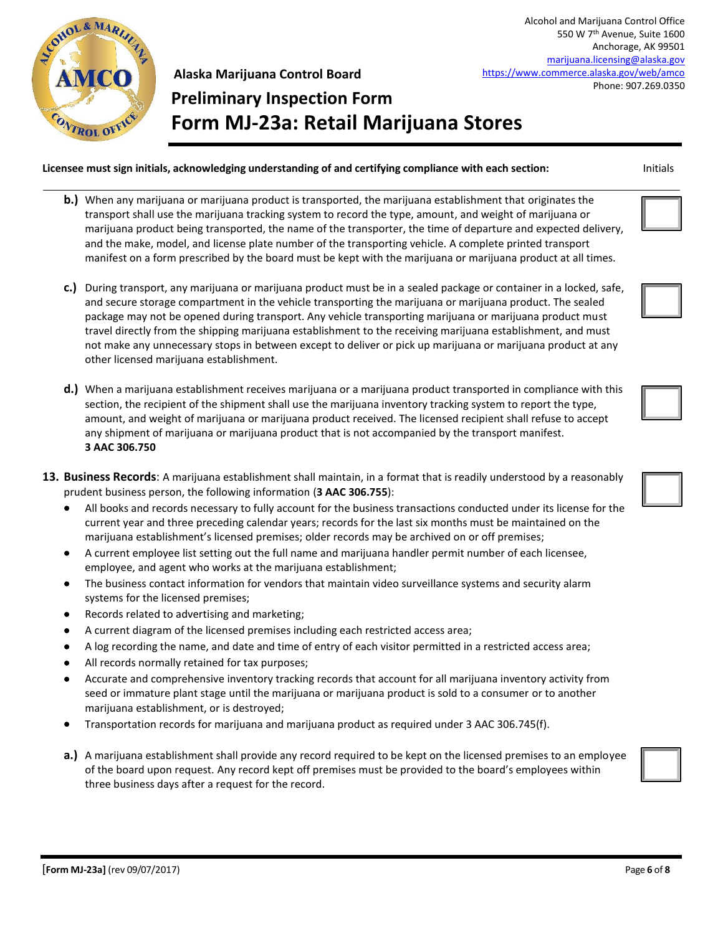

Alcohol and Marijuana Control Office 550 W 7th Avenue, Suite 1600 Anchorage, AK 99501 [marijuana.licensing@alaska.gov](mailto:marijuana.licensing@alaska.gov) <https://www.commerce.alaska.gov/web/amco> Phone: 907.269.0350

## **Alaska Marijuana Control Board Preliminary Inspection Form Form MJ-23a: Retail Marijuana Stores**

- **b.)** When any marijuana or marijuana product is transported, the marijuana establishment that originates the transport shall use the marijuana tracking system to record the type, amount, and weight of marijuana or marijuana product being transported, the name of the transporter, the time of departure and expected delivery, and the make, model, and license plate number of the transporting vehicle. A complete printed transport manifest on a form prescribed by the board must be kept with the marijuana or marijuana product at all times.
- **c.)** During transport, any marijuana or marijuana product must be in a sealed package or container in a locked, safe, and secure storage compartment in the vehicle transporting the marijuana or marijuana product. The sealed package may not be opened during transport. Any vehicle transporting marijuana or marijuana product must travel directly from the shipping marijuana establishment to the receiving marijuana establishment, and must not make any unnecessary stops in between except to deliver or pick up marijuana or marijuana product at any other licensed marijuana establishment.
- **d.)** When a marijuana establishment receives marijuana or a marijuana product transported in compliance with this section, the recipient of the shipment shall use the marijuana inventory tracking system to report the type, amount, and weight of marijuana or marijuana product received. The licensed recipient shall refuse to accept any shipment of marijuana or marijuana product that is not accompanied by the transport manifest. **3 AAC 306.750**
- **13. Business Records**: A marijuana establishment shall maintain, in a format that is readily understood by a reasonably prudent business person, the following information (**3 AAC 306.755**):
	- All books and records necessary to fully account for the business transactions conducted under its license for the current year and three preceding calendar years; records for the last six months must be maintained on the marijuana establishment's licensed premises; older records may be archived on or off premises;
	- A current employee list setting out the full name and marijuana handler permit number of each licensee, employee, and agent who works at the marijuana establishment;
	- The business contact information for vendors that maintain video surveillance systems and security alarm systems for the licensed premises;
	- Records related to advertising and marketing;
	- A current diagram of the licensed premises including each restricted access area;
	- A log recording the name, and date and time of entry of each visitor permitted in a restricted access area;
	- All records normally retained for tax purposes;
	- Accurate and comprehensive inventory tracking records that account for all marijuana inventory activity from seed or immature plant stage until the marijuana or marijuana product is sold to a consumer or to another marijuana establishment, or is destroyed;
	- Transportation records for marijuana and marijuana product as required under 3 AAC 306.745(f).
	- **a.)** A marijuana establishment shall provide any record required to be kept on the licensed premises to an employee of the board upon request. Any record kept off premises must be provided to the board's employees within three business days after a request for the record.









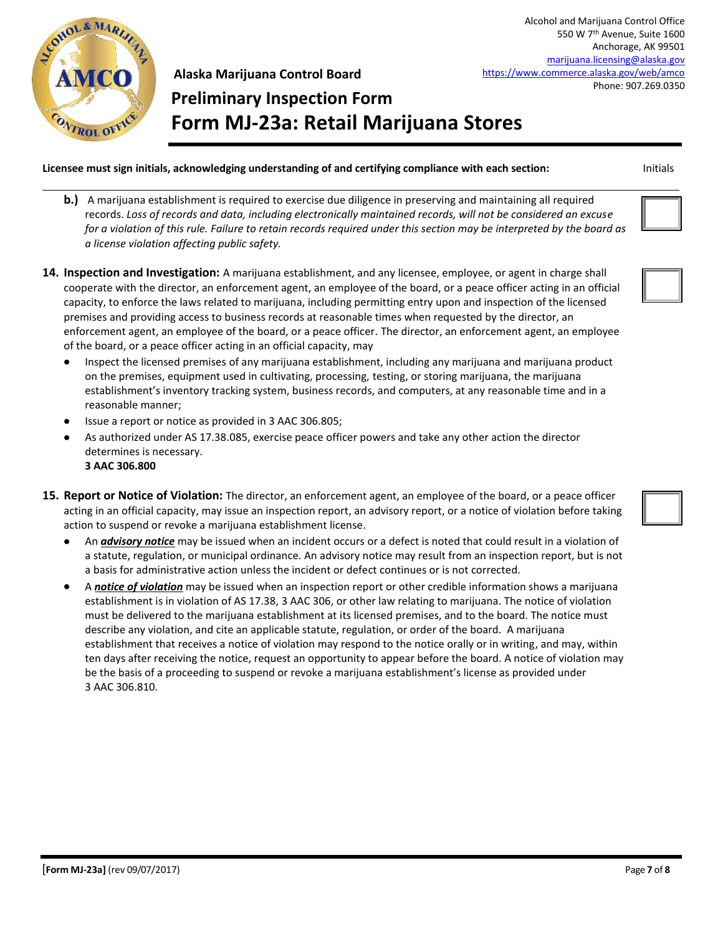

**Preliminary Inspection Form Form MJ-23a: Retail Marijuana Stores**

**Licensee must sign initials, acknowledging understanding of and certifying compliance with each section:** Initials

- **b.)** A marijuana establishment is required to exercise due diligence in preserving and maintaining all required records. *Loss of records and data, including electronically maintained records, will not be considered an excuse for a violation of this rule. Failure to retain records required under this section may be interpreted by the board as a license violation affecting public safety.*
- **14. Inspection and Investigation:** A marijuana establishment, and any licensee, employee, or agent in charge shall cooperate with the director, an enforcement agent, an employee of the board, or a peace officer acting in an official capacity, to enforce the laws related to marijuana, including permitting entry upon and inspection of the licensed premises and providing access to business records at reasonable times when requested by the director, an enforcement agent, an employee of the board, or a peace officer. The director, an enforcement agent, an employee of the board, or a peace officer acting in an official capacity, may
	- Inspect the licensed premises of any marijuana establishment, including any marijuana and marijuana product on the premises, equipment used in cultivating, processing, testing, or storing marijuana, the marijuana establishment's inventory tracking system, business records, and computers, at any reasonable time and in a reasonable manner;
	- Issue a report or notice as provided in 3 AAC 306.805;
	- As authorized under AS 17.38.085, exercise peace officer powers and take any other action the director determines is necessary. **3 AAC 306.800**
- **15. Report or Notice of Violation:** The director, an enforcement agent, an employee of the board, or a peace officer acting in an official capacity, may issue an inspection report, an advisory report, or a notice of violation before taking action to suspend or revoke a marijuana establishment license.
	- An *advisory notice* may be issued when an incident occurs or a defect is noted that could result in a violation of a statute, regulation, or municipal ordinance. An advisory notice may result from an inspection report, but is not a basis for administrative action unless the incident or defect continues or is not corrected.
	- A *notice of violation* may be issued when an inspection report or other credible information shows a marijuana establishment is in violation of AS 17.38, 3 AAC 306, or other law relating to marijuana. The notice of violation must be delivered to the marijuana establishment at its licensed premises, and to the board. The notice must describe any violation, and cite an applicable statute, regulation, or order of the board. A marijuana establishment that receives a notice of violation may respond to the notice orally or in writing, and may, within ten days after receiving the notice, request an opportunity to appear before the board. A notice of violation may be the basis of a proceeding to suspend or revoke a marijuana establishment's license as provided under 3 AAC 306.810.

Alcohol and Marijuana Control Office 550 W 7th Avenue, Suite 1600 Anchorage, AK 99501 [marijuana.licensing@alaska.gov](mailto:marijuana.licensing@alaska.gov) <https://www.commerce.alaska.gov/web/amco>

Phone: 907.269.0350